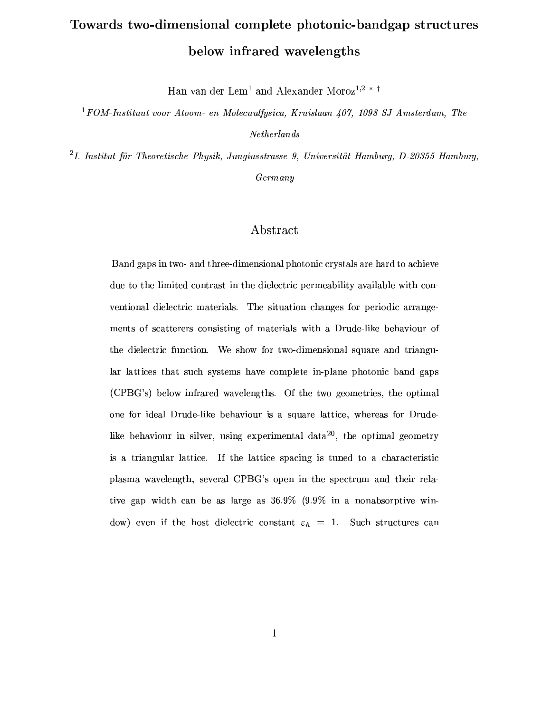# Towards two-dimensional complete photonic-bandgap structures below infrared wavelengths

Han van der Lem<sup>1</sup> and Alexander Moroz<sup>1,2</sup> \* <sup>†</sup>

<sup>1</sup>FOM-Instituut voor Atoom- en Molecuulfysica, Kruislaan  $407$ , 1098 SJ Amsterdam, The  $Nether$ lands

<sup>2</sup>I. Institut für Theoretische Physik, Jungiusstrasse 9, Universität Hamburg, D-20355 Hamburg,  $Germany$ 

# Abstract

Band gaps in two- and three-dimensional photonic crystals are hard to achieve due to the limited contrast in the dielectric permeability available with conventional dielectric materials. The situation changes for periodic arrangements of scatterers consisting of materials with a Drude-like behaviour of the dielectric function. We show for two-dimensional square and triangular lattices that such systems have complete in-plane photonic band gaps (CPBG's) below infrared wavelengths. Of the two geometries, the optimal one for ideal Drude-like behaviour is a square lattice, whereas for Drudelike behaviour in silver, using experimental data<sup>20</sup>, the optimal geometry is a triangular lattice. If the lattice spacing is tuned to a characteristic plasma wavelength, several CPBG's open in the spectrum and their relative gap width can be as large as  $36.9\%$  (9.9% in a nonabsorptive window) even if the host dielectric constant  $\varepsilon_h = 1$ . Such structures can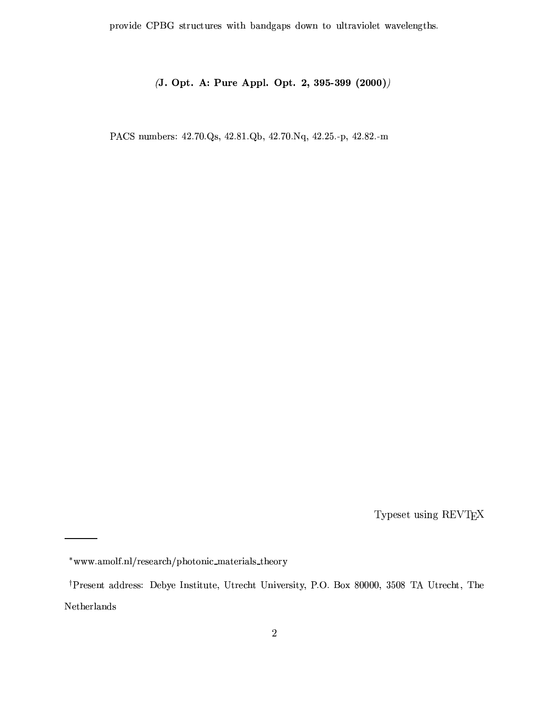provide CPBG structures with bandgaps down to ultraviolet wavelengths.

## (J. Opt. A: Pure Appl. Opt. 2, 395-399 (2000))

PACS numbers: 42.70.Qs, 42.81.Qb, 42.70.Nq, 42.25.-p, 42.82.-m

Typeset using  $\operatorname{REV}\!T_{\!E}\!X$ 

<sup>\*</sup>www.amolf.nl/research/photonic\_materials\_theory

<sup>&</sup>lt;sup>†</sup>Present address: Debye Institute, Utrecht University, P.O. Box 80000, 3508 TA Utrecht, The  ${\bf Netherlands}$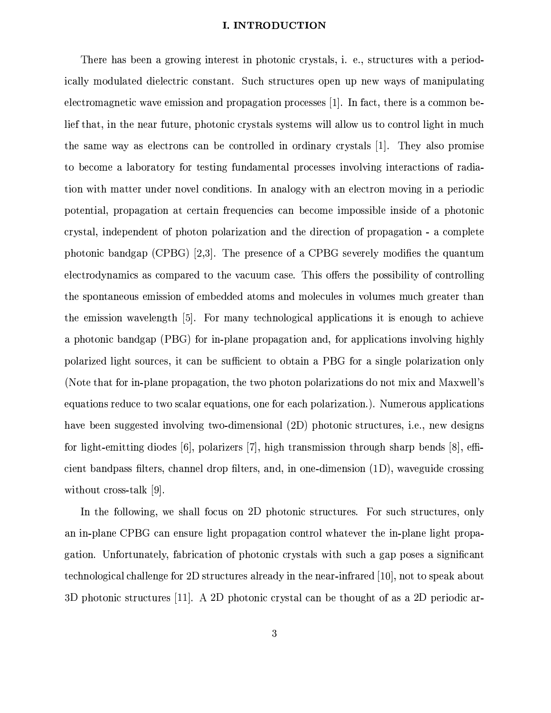#### I. INTRODUCTION

There has been a growing interest in photonic crystals, i. e., structures with a periodically modulated dielectric constant. Such structures open up new ways of manipulating electromagnetic wave emission and propagation processes [1]. In fact, there is a common belief that, in the near future, photonic crystals systems will allow us to control light in much the same way as electrons can be controlled in ordinary crystals [1]. They also promise to become a laboratory for testing fundamental processes involving interactions of radiation with matter under novel conditions. In analogy with an electron moving in a periodic potential, propagation at certain frequencies can become impossible inside of a photonic crystal, independent of photon polarization and the direction of propagation - a complete photonic bandgap (CPBG) [2,3]. The presence of a CPBG severely modifies the quantum electrodynamics as compared to the vacuum case. This offers the possibility of controlling the spontaneous emission of embedded atoms and molecules in volumes much greater than the emission wavelength [5]. For many technological applications it is enough to achieve a photonic bandgap (PBG) for in-plane propagation and, for applications involving highly polarized light sources, it can be sufficient to obtain a PBG for a single polarization only (Note that for in-plane propagation, the two photon polarizations do not mix and Maxwell's equations reduce to two scalar equations, one for each polarization.). Numerous applications have been suggested involving two-dimensional (2D) photonic structures, i.e., new designs for light-emitting diodes [6], polarizers [7], high transmission through sharp bends  $[8]$ , efficient bandpass filters, channel drop filters, and, in one-dimension (1D), waveguide crossing without cross-talk [9].

In the following, we shall focus on 2D photonic structures. For such structures, only an in-plane CPBG can ensure light propagation control whatever the in-plane light propagation. Unfortunately, fabrication of photonic crystals with such a gap poses a significant technological challenge for 2D structures already in the near-infrared [10], not to speak about 3D photonic structures [11]. A 2D photonic crystal can be thought of as a 2D periodic ar-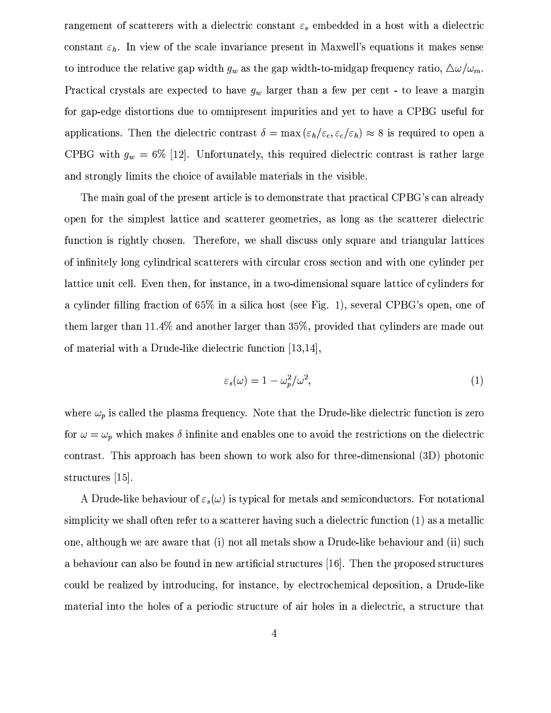rangement of scatterers with a dielectric constant  $\varepsilon_s$  embedded in a host with a dielectric constant  $\varepsilon_h$ . In view of the scale invariance present in Maxwell's equations it makes sense to introduce the relative gap width  $g_w$  as the gap width-to-midgap frequency ratio,  $\Delta \omega / \omega_m$ . Practical crystals are expected to have  $g_w$  larger than a few per cent - to leave a margin for gap-edge distortions due to omnipresent impurities and yet to have a CPBG useful for applications. Then the dielectric contrast  $\delta = \max(\varepsilon_h/\varepsilon_c, \varepsilon_c/\varepsilon_h) \approx 8$  is required to open a CPBG with  $g_w = 6\%$  [12]. Unfortunately, this required dielectric contrast is rather large and strongly limits the choice of available materials in the visible.

The main goal of the present article is to demonstrate that practical CPBG's can already open for the simplest lattice and scatterer geometries, as long as the scatterer dielectric function is rightly chosen. Therefore, we shall discuss only square and triangular lattices of infinitely long cylindrical scatterers with circular cross section and with one cylinder per lattice unit cell. Even then, for instance, in a two-dimensional square lattice of cylinders for a cylinder filling fraction of 65% in a silica host (see Fig. 1), several CPBG's open, one of them larger than 11.4% and another larger than 35%, provided that cylinders are made out of material with a Drude-like dielectric function [13,14].

$$
\varepsilon_s(\omega) = 1 - \omega_p^2/\omega^2,\tag{1}
$$

where  $\omega_p$  is called the plasma frequency. Note that the Drude-like dielectric function is zero for  $\omega = \omega_p$  which makes  $\delta$  infinite and enables one to avoid the restrictions on the dielectric contrast. This approach has been shown to work also for three-dimensional (3D) photonic structures  $|15|$ .

A Drude-like behaviour of  $\varepsilon_s(\omega)$  is typical for metals and semiconductors. For notational simplicity we shall often refer to a scatterer having such a dielectric function (1) as a metallic one, although we are aware that (i) not all metals show a Drude-like behaviour and (ii) such a behaviour can also be found in new artificial structures [16]. Then the proposed structures could be realized by introducing, for instance, by electrochemical deposition, a Drude-like material into the holes of a periodic structure of air holes in a dielectric, a structure that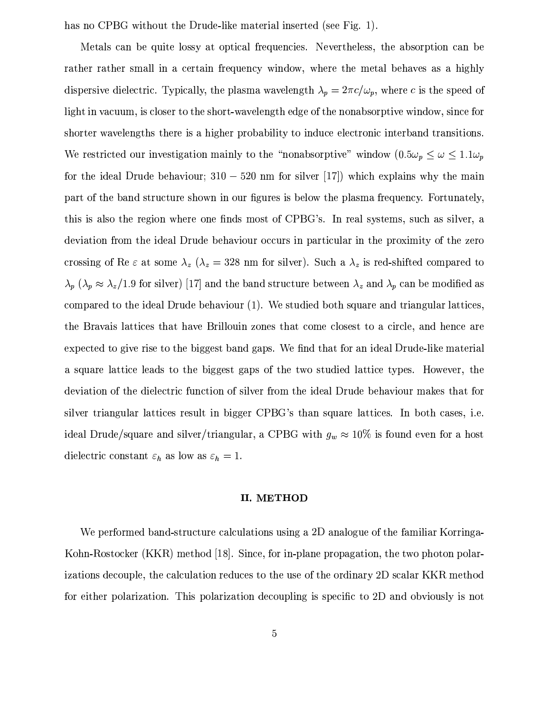has no CPBG without the Drude-like material inserted (see Fig. 1).

Metals can be quite lossy at optical frequencies. Nevertheless, the absorption can be rather rather small in a certain frequency window, where the metal behaves as a highly dispersive dielectric. Typically, the plasma wavelength  $\lambda_p = 2\pi c/\omega_p$ , where c is the speed of light in vacuum, is closer to the short-wavelength edge of the nonabsorptive window, since for shorter wavelengths there is a higher probability to induce electronic interband transitions. We restricted our investigation mainly to the "nonabsorptive" window  $(0.5\omega_p \leq \omega \leq 1.1\omega_p)$ for the ideal Drude behaviour;  $310 - 520$  nm for silver [17]) which explains why the main part of the band structure shown in our figures is below the plasma frequency. Fortunately, this is also the region where one finds most of CPBG's. In real systems, such as silver, a deviation from the ideal Drude behaviour occurs in particular in the proximity of the zero crossing of Re  $\varepsilon$  at some  $\lambda_z$  ( $\lambda_z = 328$  nm for silver). Such a  $\lambda_z$  is red-shifted compared to  $\lambda_p$  ( $\lambda_p \approx \lambda_z/1.9$  for silver) [17] and the band structure between  $\lambda_z$  and  $\lambda_p$  can be modified as compared to the ideal Drude behaviour (1). We studied both square and triangular lattices, the Bravais lattices that have Brillouin zones that come closest to a circle, and hence are expected to give rise to the biggest band gaps. We find that for an ideal Drude-like material a square lattice leads to the biggest gaps of the two studied lattice types. However, the deviation of the dielectric function of silver from the ideal Drude behaviour makes that for silver triangular lattices result in bigger CPBG's than square lattices. In both cases, i.e. ideal Drude/square and silver/triangular, a CPBG with  $g_w \approx 10\%$  is found even for a host dielectric constant  $\varepsilon_h$  as low as  $\varepsilon_h = 1$ .

### **II. METHOD**

We performed band-structure calculations using a 2D analogue of the familiar Korringa-Kohn-Rostocker (KKR) method [18]. Since, for in-plane propagation, the two photon polarizations decouple, the calculation reduces to the use of the ordinary 2D scalar KKR method for either polarization. This polarization decoupling is specific to 2D and obviously is not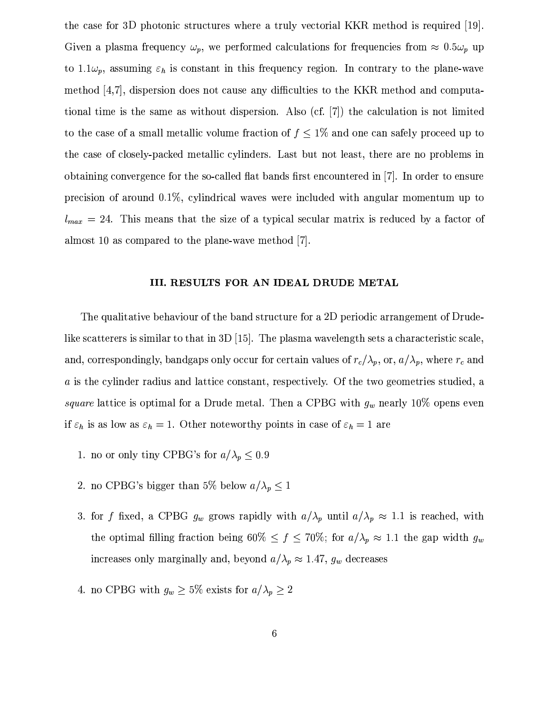the case for 3D photonic structures where a truly vectorial KKR method is required [19]. Given a plasma frequency  $\omega_p$ , we performed calculations for frequencies from  $\approx 0.5\omega_p$  up to 1.1 $\omega_p$ , assuming  $\varepsilon_h$  is constant in this frequency region. In contrary to the plane-wave method [4,7], dispersion does not cause any difficulties to the KKR method and computational time is the same as without dispersion. Also (cf.  $[7]$ ) the calculation is not limited to the case of a small metallic volume fraction of  $f \leq 1\%$  and one can safely proceed up to the case of closely-packed metallic cylinders. Last but not least, there are no problems in obtaining convergence for the so-called flat bands first encountered in [7]. In order to ensure precision of around  $0.1\%$ , cylindrical waves were included with angular momentum up to  $l_{max} = 24$ . This means that the size of a typical secular matrix is reduced by a factor of almost 10 as compared to the plane-wave method  $[7]$ .

#### III. RESULTS FOR AN IDEAL DRUDE METAL

The qualitative behaviour of the band structure for a 2D periodic arrangement of Drudelike scatterers is similar to that in 3D [15]. The plasma wavelength sets a characteristic scale, and, correspondingly, bandgaps only occur for certain values of  $r_c/\lambda_p$ , or,  $a/\lambda_p$ , where  $r_c$  and a is the cylinder radius and lattice constant, respectively. Of the two geometries studied, a square lattice is optimal for a Drude metal. Then a CPBG with  $g_w$  nearly 10% opens even if  $\varepsilon_h$  is as low as  $\varepsilon_h = 1$ . Other noteworthy points in case of  $\varepsilon_h = 1$  are

- 1. no or only tiny CPBG's for  $a/\lambda_p \leq 0.9$
- 2. no CPBG's bigger than 5% below  $a/\lambda_p \leq 1$
- 3. for f fixed, a CPBG  $g_w$  grows rapidly with  $a/\lambda_p$  until  $a/\lambda_p \approx 1.1$  is reached, with the optimal filling fraction being 60%  $\leq f \leq 70\%$ ; for  $a/\lambda_p \approx 1.1$  the gap width  $g_w$ increases only marginally and, beyond  $a/\lambda_p \approx 1.47$ ,  $g_w$  decreases
- 4. no CPBG with  $g_w \geq 5\%$  exists for  $a/\lambda_p \geq 2$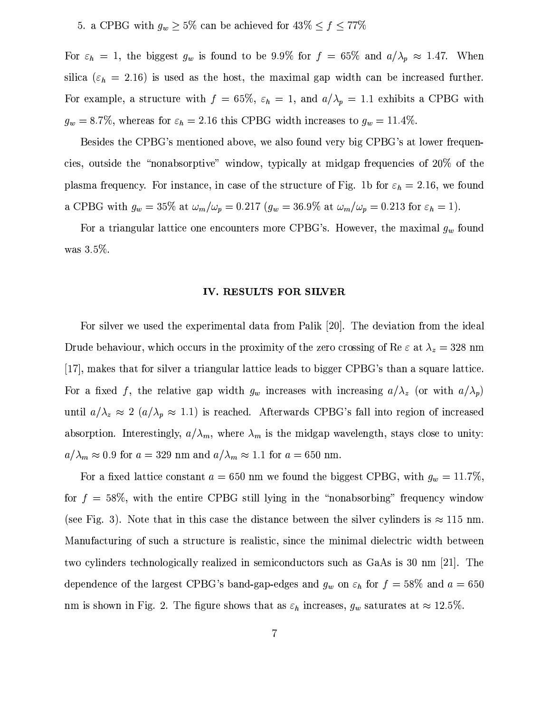## 5. a CPBG with  $g_w \geq 5\%$  can be achieved for  $43\% \leq f \leq 77\%$

For  $\varepsilon_h = 1$ , the biggest  $g_w$  is found to be 9.9% for  $f = 65\%$  and  $a/\lambda_p \approx 1.47$ . When silica ( $\varepsilon_h$  = 2.16) is used as the host, the maximal gap width can be increased further. For example, a structure with  $f = 65\%$ ,  $\varepsilon_h = 1$ , and  $a/\lambda_p = 1.1$  exhibits a CPBG with  $g_w = 8.7\%$ , whereas for  $\varepsilon_h = 2.16$  this CPBG width increases to  $g_w = 11.4\%$ .

Besides the CPBG's mentioned above, we also found very big CPBG's at lower frequencies, outside the "nonabsorptive" window, typically at midgap frequencies of 20% of the plasma frequency. For instance, in case of the structure of Fig. 1b for  $\varepsilon_h = 2.16$ , we found a CPBG with  $g_w = 35\%$  at  $\omega_m/\omega_p = 0.217$  ( $g_w = 36.9\%$  at  $\omega_m/\omega_p = 0.213$  for  $\varepsilon_h = 1$ ).

For a triangular lattice one encounters more CPBG's. However, the maximal  $g_w$  found was  $3.5\%$ .

#### IV. RESULTS FOR SILVER

For silver we used the experimental data from Palik [20]. The deviation from the ideal Drude behaviour, which occurs in the proximity of the zero crossing of Re  $\varepsilon$  at  $\lambda_z = 328$  nm [17], makes that for silver a triangular lattice leads to bigger CPBG's than a square lattice. For a fixed f, the relative gap width  $g_w$  increases with increasing  $a/\lambda_z$  (or with  $a/\lambda_p$ ) until  $a/\lambda_z \approx 2 \ (a/\lambda_p \approx 1.1)$  is reached. Afterwards CPBG's fall into region of increased absorption. Interestingly,  $a/\lambda_m$ , where  $\lambda_m$  is the midgap wavelength, stays close to unity:  $a/\lambda_m\approx 0.9$  for  $a=329$  nm and  $a/\lambda_m\approx 1.1$  for  $a=650$  nm.

For a fixed lattice constant  $a = 650$  nm we found the biggest CPBG, with  $g_w = 11.7\%$ , for  $f = 58\%$ , with the entire CPBG still lying in the "nonabsorbing" frequency window (see Fig. 3). Note that in this case the distance between the silver cylinders is  $\approx 115$  nm. Manufacturing of such a structure is realistic, since the minimal dielectric width between two cylinders technologically realized in semiconductors such as GaAs is 30 nm [21]. The dependence of the largest CPBG's band-gap-edges and  $g_w$  on  $\varepsilon_h$  for  $f = 58\%$  and  $a = 650$ nm is shown in Fig. 2. The figure shows that as  $\varepsilon_h$  increases,  $g_w$  saturates at  $\approx 12.5\%$ .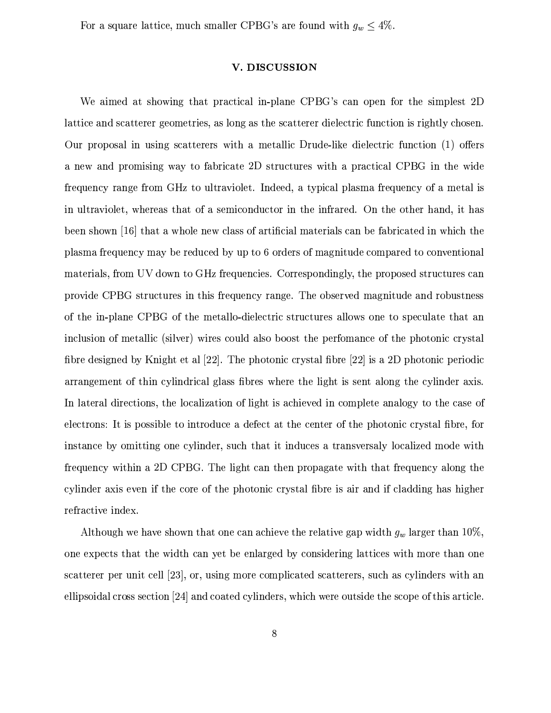For a square lattice, much smaller CPBG's are found with  $g_w \leq 4\%$ .

#### V. DISCUSSION

We aimed at showing that practical in-plane CPBG's can open for the simplest 2D lattice and scatterer geometries, as long as the scatterer dielectric function is rightly chosen. Our proposal in using scatterers with a metallic Drude-like dielectric function (1) offers a new and promising way to fabricate 2D structures with a practical CPBG in the wide frequency range from GHz to ultraviolet. Indeed, a typical plasma frequency of a metal is in ultraviolet, whereas that of a semiconductor in the infrared. On the other hand, it has been shown [16] that a whole new class of artificial materials can be fabricated in which the plasma frequency may be reduced by up to 6 orders of magnitude compared to conventional materials, from UV down to GHz frequencies. Correspondingly, the proposed structures can provide CPBG structures in this frequency range. The observed magnitude and robustness of the in-plane CPBG of the metallo-dielectric structures allows one to speculate that an inclusion of metallic (silver) wires could also boost the perfomance of the photonic crystal fibre designed by Knight et al  $[22]$ . The photonic crystal fibre  $[22]$  is a 2D photonic periodic arrangement of thin cylindrical glass fibres where the light is sent along the cylinder axis. In lateral directions, the localization of light is achieved in complete analogy to the case of electrons: It is possible to introduce a defect at the center of the photonic crystal fibre, for instance by omitting one cylinder, such that it induces a transversaly localized mode with frequency within a 2D CPBG. The light can then propagate with that frequency along the cylinder axis even if the core of the photonic crystal fibre is air and if cladding has higher refractive index.

Although we have shown that one can achieve the relative gap width  $g_w$  larger than 10%, one expects that the width can yet be enlarged by considering lattices with more than one scatterer per unit cell [23], or, using more complicated scatterers, such as cylinders with an ellipsoidal cross section [24] and coated cylinders, which were outside the scope of this article.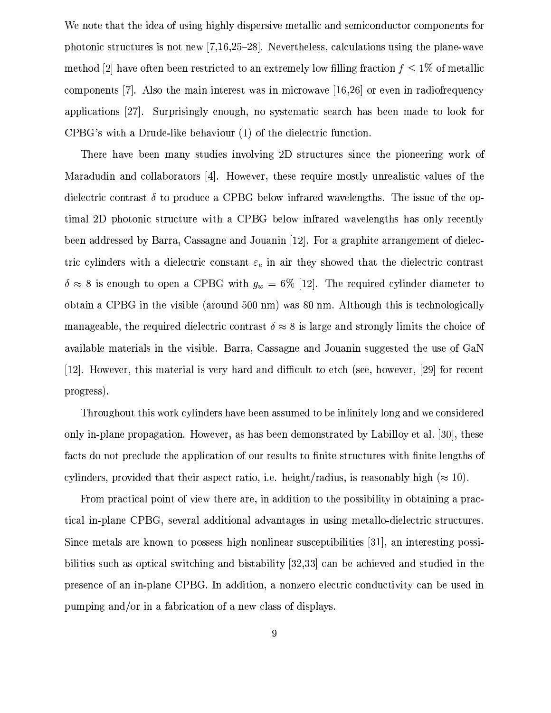We note that the idea of using highly dispersive metallic and semiconductor components for photonic structures is not new [7,16,25–28]. Nevertheless, calculations using the plane-wave method [2] have often been restricted to an extremely low filling fraction  $f \leq 1\%$  of metallic components [7]. Also the main interest was in microwave  $[16,26]$  or even in radiofrequency applications [27]. Surprisingly enough, no systematic search has been made to look for CPBG's with a Drude-like behaviour (1) of the dielectric function.

There have been many studies involving 2D structures since the pioneering work of Maradudin and collaborators [4]. However, these require mostly unrealistic values of the dielectric contrast  $\delta$  to produce a CPBG below infrared wavelengths. The issue of the optimal 2D photonic structure with a CPBG below infrared wavelengths has only recently been addressed by Barra, Cassagne and Jouanin [12]. For a graphite arrangement of dielectric cylinders with a dielectric constant  $\varepsilon_c$  in air they showed that the dielectric contrast  $\delta \approx 8$  is enough to open a CPBG with  $g_w = 6\%$  [12]. The required cylinder diameter to obtain a CPBG in the visible (around 500 nm) was 80 nm. Although this is technologically manageable, the required dielectric contrast  $\delta \approx 8$  is large and strongly limits the choice of available materials in the visible. Barra, Cassagne and Jouanin suggested the use of GaN [12]. However, this material is very hard and difficult to etch (see, however, [29] for recent progress).

Throughout this work cylinders have been assumed to be infinitely long and we considered only in-plane propagation. However, as has been demonstrated by Labilloy et al. [30], these facts do not preclude the application of our results to finite structures with finite lengths of cylinders, provided that their aspect ratio, i.e. height/radius, is reasonably high ( $\approx 10$ ).

From practical point of view there are, in addition to the possibility in obtaining a practical in-plane CPBG, several additional advantages in using metallo-dielectric structures. Since metals are known to possess high nonlinear susceptibilities [31], an interesting possibilities such as optical switching and bistability [32,33] can be achieved and studied in the presence of an in-plane CPBG. In addition, a nonzero electric conductivity can be used in pumping and/or in a fabrication of a new class of displays.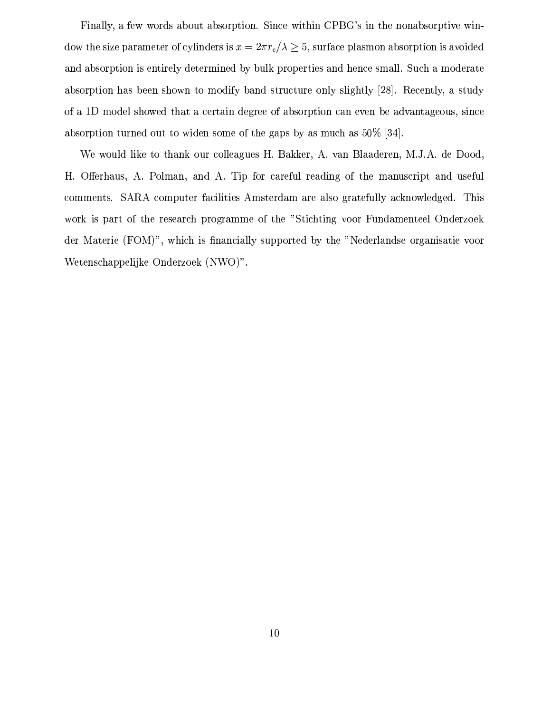Finally, a few words about absorption. Since within CPBG's in the nonabsorptive window the size parameter of cylinders is  $x = 2\pi r_c/\lambda \geq 5$ , surface plasmon absorption is avoided and absorption is entirely determined by bulk properties and hence small. Such a moderate absorption has been shown to modify band structure only slightly [28]. Recently, a study of a 1D model showed that a certain degree of absorption can even be advantageous, since absorption turned out to widen some of the gaps by as much as  $50\%$  [34].

We would like to thank our colleagues H. Bakker, A. van Blaaderen, M.J.A. de Dood, H. Offerhaus, A. Polman, and A. Tip for careful reading of the manuscript and useful comments. SARA computer facilities Amsterdam are also gratefully acknowledged. This work is part of the research programme of the "Stichting voor Fundamenteel Onderzoek der Materie (FOM)", which is financially supported by the "Nederlandse organisatie voor Wetenschappelijke Onderzoek (NWO)".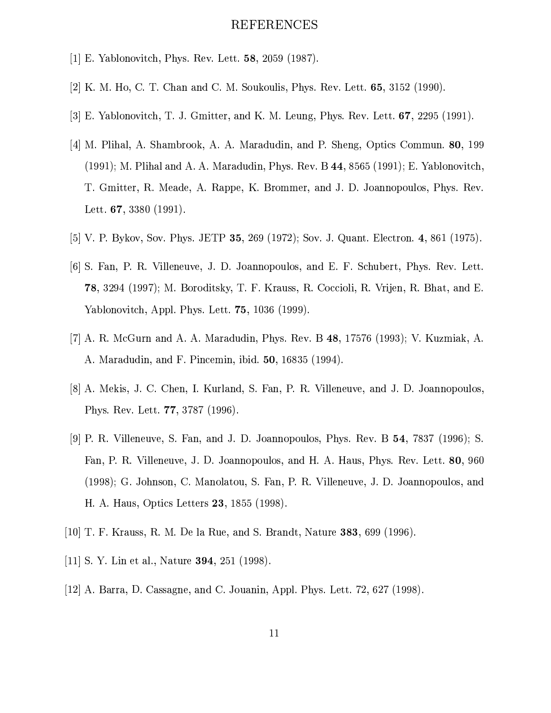## REFERENCES

- [1] E. Yablonovitch, Phys. Rev. Lett. 58, 2059 (1987).
- [2] K. M. Ho, C. T. Chan and C. M. Soukoulis, Phys. Rev. Lett.  $65, 3152$  (1990).
- [3] E. Yablonovitch, T. J. Gmitter, and K. M. Leung, Phys. Rev. Lett. 67, 2295 (1991).
- [4] M. Plihal, A. Shambrook, A. A. Maradudin, and P. Sheng, Optics Commun. 80, 199 (1991); M. Plihal and A. A. Maradudin, Phys. Rev. B 44, 8565 (1991); E. Yablonovitch, T. Gmitter, R. Meade, A. Rappe, K. Brommer, and J. D. Joannopoulos, Phys. Rev. Lett.  $67, 3380$  (1991).
- [5] V. P. Bykov, Sov. Phys. JETP 35, 269 (1972); Sov. J. Quant. Electron. 4, 861 (1975).
- [6] S. Fan, P. R. Villeneuve, J. D. Joannopoulos, and E. F. Schubert, Phys. Rev. Lett. 78, 3294 (1997); M. Boroditsky, T. F. Krauss, R. Coccioli, R. Vrijen, R. Bhat, and E. Yablonovitch, Appl. Phys. Lett. 75, 1036 (1999).
- [7] A. R. McGurn and A. A. Maradudin, Phys. Rev. B  $48$ , 17576 (1993); V. Kuzmiak, A. A. Maradudin, and F. Pincemin, ibid. 50, 16835 (1994).
- [8] A. Mekis, J. C. Chen, I. Kurland, S. Fan, P. R. Villeneuve, and J. D. Joannopoulos, Phys. Rev. Lett. **77**, 3787 (1996).
- [9] P. R. Villeneuve, S. Fan, and J. D. Joannopoulos, Phys. Rev. B 54, 7837 (1996); S. Fan, P. R. Villeneuve, J. D. Joannopoulos, and H. A. Haus, Phys. Rev. Lett. 80, 960 (1998); G. Johnson, C. Manolatou, S. Fan, P. R. Villeneuve, J. D. Joannopoulos, and H. A. Haus, Optics Letters 23, 1855 (1998).
- [10] T. F. Krauss, R. M. De la Rue, and S. Brandt, Nature 383, 699 (1996).
- [11] S. Y. Lin et al., Nature **394**, 251 (1998).
- [12] A. Barra, D. Cassagne, and C. Jouanin, Appl. Phys. Lett.  $72,627$  (1998).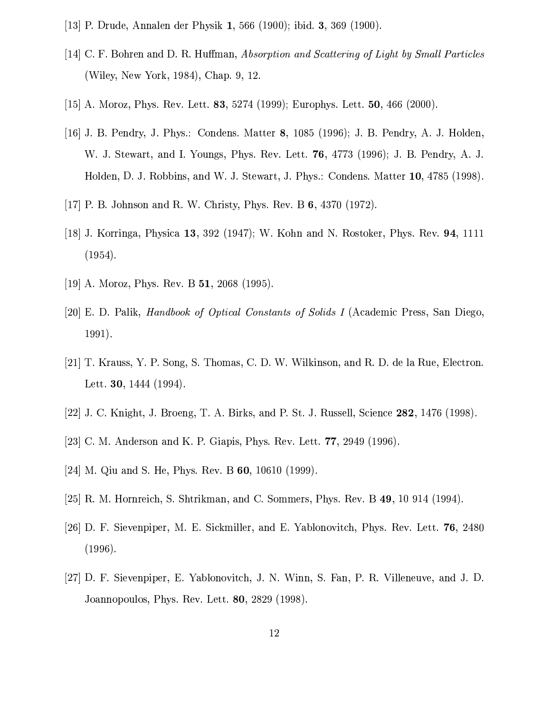- [13] P. Drude, Annalen der Physik 1, 566 (1900); ibid. 3, 369 (1900).
- [14] C. F. Bohren and D. R. Huffman, Absorption and Scattering of Light by Small Particles (Wiley, New York, 1984), Chap. 9, 12.
- [15] A. Moroz, Phys. Rev. Lett. 83, 5274 (1999); Europhys. Lett. 50, 466 (2000).
- [16] J. B. Pendry, J. Phys.: Condens. Matter 8, 1085 (1996); J. B. Pendry, A. J. Holden, W. J. Stewart, and I. Youngs, Phys. Rev. Lett. 76, 4773 (1996); J. B. Pendry, A. J. Holden, D. J. Robbins, and W. J. Stewart, J. Phys.: Condens. Matter 10, 4785 (1998).
- [17] P. B. Johnson and R. W. Christy, Phys. Rev. B  $6,4370$  (1972).
- [18] J. Korringa, Physica 13, 392 (1947); W. Kohn and N. Rostoker, Phys. Rev. 94, 1111  $(1954).$
- [19] A. Moroz, Phys. Rev. B  $51$ , 2068 (1995).
- [20] E. D. Palik, *Handbook of Optical Constants of Solids I* (Academic Press, San Diego,  $1991).$
- [21] T. Krauss, Y. P. Song, S. Thomas, C. D. W. Wilkinson, and R. D. de la Rue, Electron. Lett. **30**,  $1444$  (1994).
- [22] J. C. Knight, J. Broeng, T. A. Birks, and P. St. J. Russell, Science 282, 1476 (1998).
- [23] C. M. Anderson and K. P. Giapis, Phys. Rev. Lett.  $77, 2949$  (1996).
- [24] M. Qiu and S. He, Phys. Rev. B  $60$ , 10610 (1999).
- [25] R. M. Hornreich, S. Shtrikman, and C. Sommers, Phys. Rev. B 49, 10 914 (1994).
- [26] D. F. Sievenpiper, M. E. Sickmiller, and E. Yablonovitch, Phys. Rev. Lett. 76, 2480  $(1996).$
- [27] D. F. Sievenpiper, E. Yablonovitch, J. N. Winn, S. Fan, P. R. Villeneuve, and J. D. Joannopoulos, Phys. Rev. Lett. 80, 2829 (1998).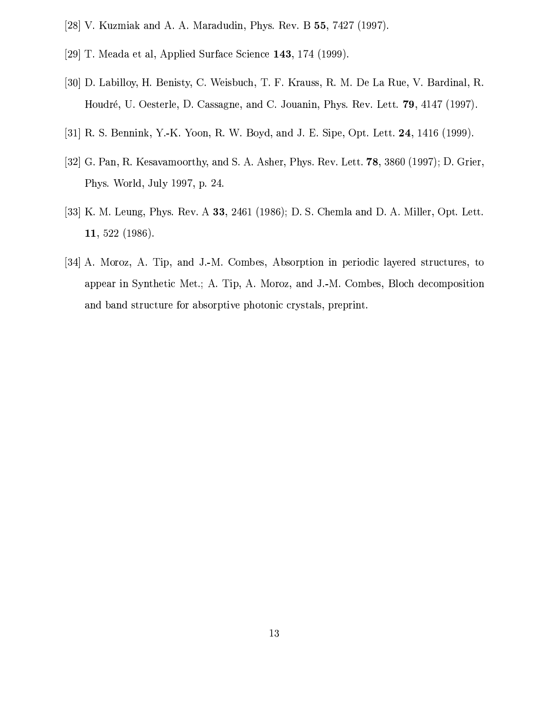- [28] V. Kuzmiak and A. A. Maradudin, Phys. Rev. B  $55$ , 7427 (1997).
- [29] T. Meada et al, Applied Surface Science 143, 174 (1999).
- [30] D. Labilloy, H. Benisty, C. Weisbuch, T. F. Krauss, R. M. De La Rue, V. Bardinal, R. Houdré, U. Oesterle, D. Cassagne, and C. Jouanin, Phys. Rev. Lett. 79, 4147 (1997).
- [31] R. S. Bennink, Y.-K. Yoon, R. W. Boyd, and J. E. Sipe, Opt. Lett. 24, 1416 (1999).
- [32] G. Pan, R. Kesavamoorthy, and S. A. Asher, Phys. Rev. Lett.  $78$ , 3860 (1997); D. Grier, Phys. World, July 1997, p. 24.
- [33] K. M. Leung, Phys. Rev. A 33, 2461 (1986); D. S. Chemla and D. A. Miller, Opt. Lett. 11, 522 (1986).
- [34] A. Moroz, A. Tip, and J.-M. Combes, Absorption in periodic layered structures, to appear in Synthetic Met.; A. Tip, A. Moroz, and J.-M. Combes, Bloch decomposition and band structure for absorptive photonic crystals, preprint.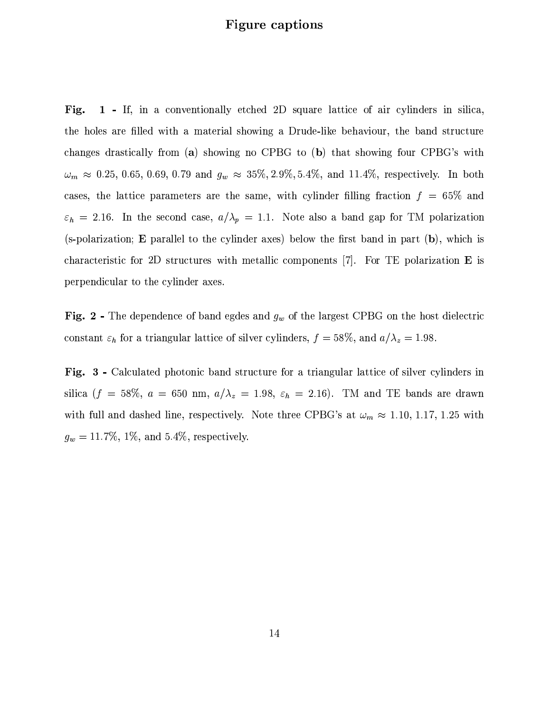## **Figure captions**

1 - If, in a conventionally etched 2D square lattice of air cylinders in silica, Fig. the holes are filled with a material showing a Drude-like behaviour, the band structure changes drastically from (a) showing no CPBG to (b) that showing four CPBG's with  $\omega_m \approx 0.25, 0.65, 0.69, 0.79$  and  $g_w \approx 35\%, 2.9\%, 5.4\%,$  and 11.4%, respectively. In both cases, the lattice parameters are the same, with cylinder filling fraction  $f = 65\%$  and  $\varepsilon_h = 2.16$ . In the second case,  $a/\lambda_p = 1.1$ . Note also a band gap for TM polarization (s-polarization; E parallel to the cylinder axes) below the first band in part  $(b)$ , which is characteristic for 2D structures with metallic components  $|7|$ . For TE polarization **E** is perpendicular to the cylinder axes.

**Fig. 2** - The dependence of band egdes and  $g_w$  of the largest CPBG on the host dielectric constant  $\varepsilon_h$  for a triangular lattice of silver cylinders,  $f = 58\%$ , and  $a/\lambda_z = 1.98$ .

Fig. 3 - Calculated photonic band structure for a triangular lattice of silver cylinders in silica ( $f = 58\%$ ,  $a = 650$  nm,  $a/\lambda_z = 1.98$ ,  $\varepsilon_h = 2.16$ ). TM and TE bands are drawn with full and dashed line, respectively. Note three CPBG's at  $\omega_m \approx 1.10, 1.17, 1.25$  with  $g_w = 11.7\%, 1\%, \text{ and } 5.4\%, \text{ respectively.}$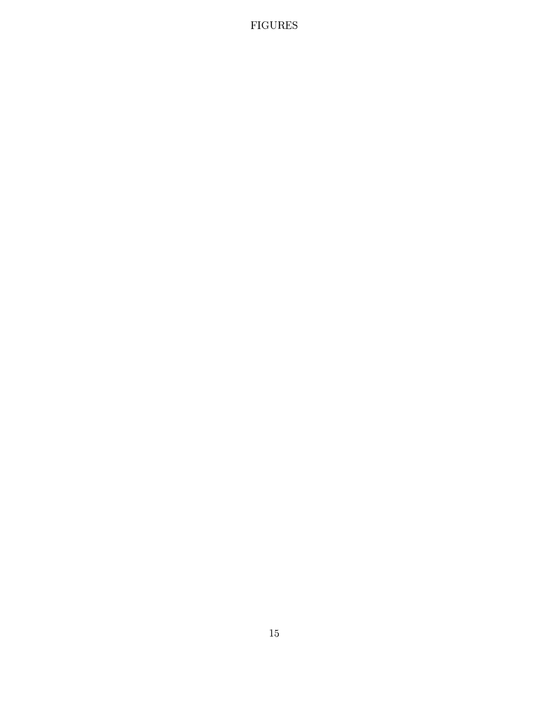# $FIGURES$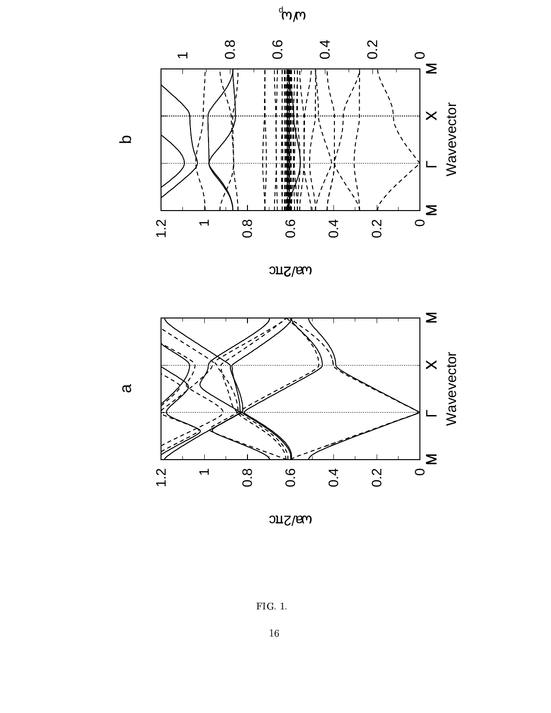





 $0.8\sqrt{2\pi}C$ 

 $FIG. 1.$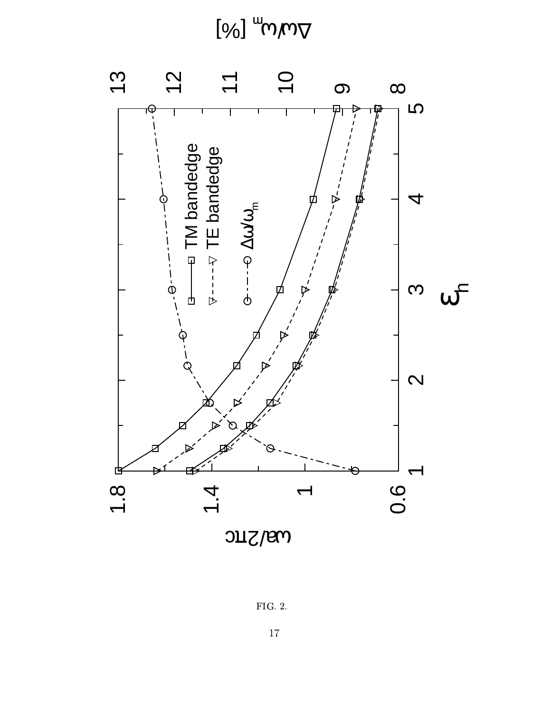$\left[ \%\right]$   $^{\omega}$   $\omega/\omega_{\nabla}$ 



 $FIG. 2.$